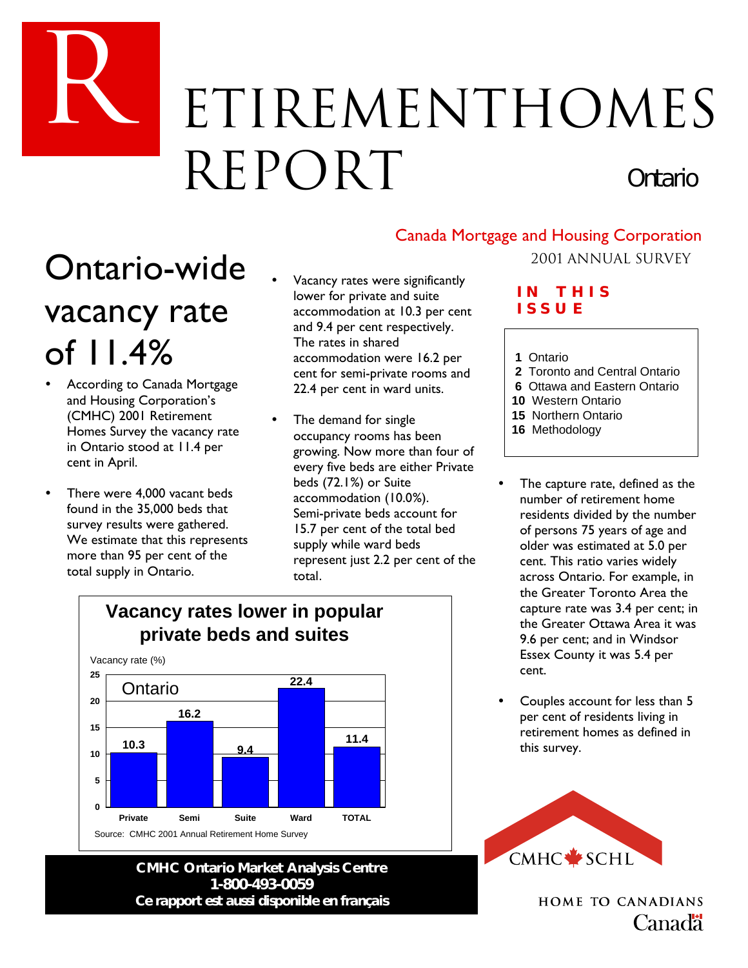# ETIREMENTHOMES REPORT *Ontario*

# Ontario-wide vacancy rate of 11.4%

R

- According to Canada Mortgage and Housing Corporation's (CMHC) 2001 Retirement Homes Survey the vacancy rate in Ontario stood at 11.4 per cent in April.
- There were 4,000 vacant beds found in the 35,000 beds that survey results were gathered. We estimate that this represents more than 95 per cent of the total supply in Ontario.
- Vacancy rates were significantly lower for private and suite accommodation at 10.3 per cent and 9.4 per cent respectively. The rates in shared accommodation were 16.2 per cent for semi-private rooms and 22.4 per cent in ward units.
- The demand for single occupancy rooms has been growing. Now more than four of every five beds are either Private beds (72.1%) or Suite accommodation (10.0%). Semi-private beds account for 15.7 per cent of the total bed supply while ward beds represent just 2.2 per cent of the total.



### **CMHC Ontario Market Analysis Centre 1-800-493-0059** *Ce rapport est aussi disponible en français*

# Canada Mortgage and Housing Corporation

### 2001 AnNual Survey

### **I N T H I S I S SUE**

- **1** Ontario
- **2** Toronto and Central Ontario
- **6** Ottawa and Eastern Ontario
- **10** Western Ontario
- **15** Northern Ontario
- **16** Methodology
- The capture rate, defined as the number of retirement home residents divided by the number of persons 75 years of age and older was estimated at 5.0 per cent. This ratio varies widely across Ontario. For example, in the Greater Toronto Area the capture rate was 3.4 per cent; in the Greater Ottawa Area it was 9.6 per cent; and in Windsor Essex County it was 5.4 per cent.
- Couples account for less than 5 per cent of residents living in retirement homes as defined in this survey.



**HOME TO CANADIANS** Canadä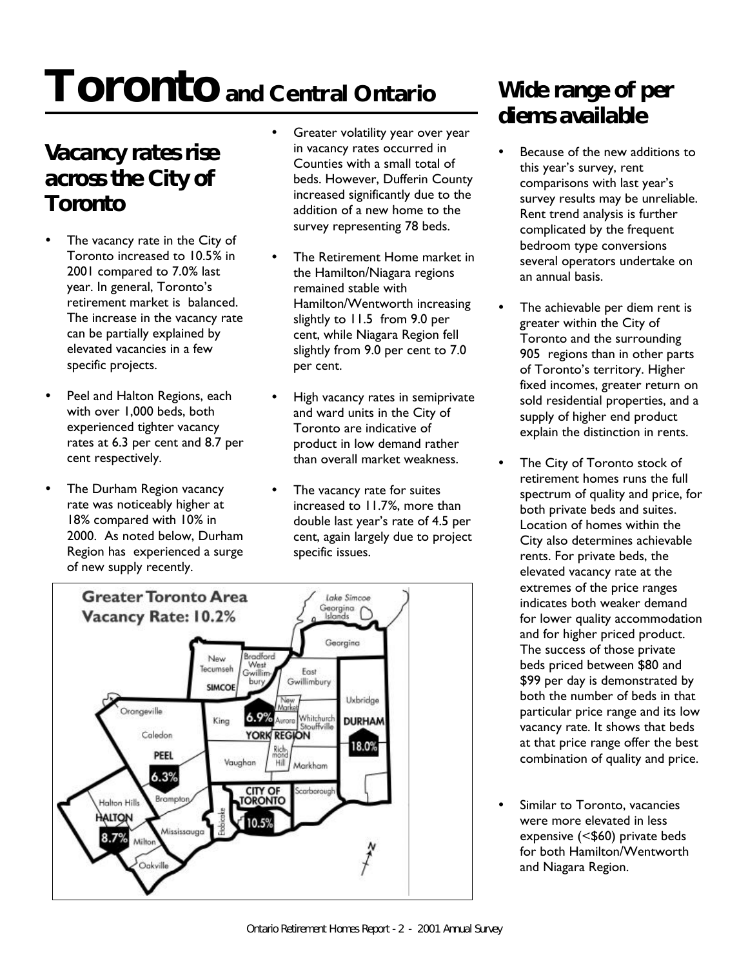# **Toronto and Central Ontario**

# *Vacancy rates rise across the City of Toronto*

- The vacancy rate in the City of Toronto increased to 10.5% in 2001 compared to 7.0% last year. In general, Toronto's retirement market is balanced. The increase in the vacancy rate can be partially explained by elevated vacancies in a few specific projects.
- Peel and Halton Regions, each with over 1,000 beds, both experienced tighter vacancy rates at 6.3 per cent and 8.7 per cent respectively.
- The Durham Region vacancy rate was noticeably higher at 18% compared with 10% in 2000. As noted below, Durham Region has experienced a surge of new supply recently.
- Greater volatility year over year in vacancy rates occurred in Counties with a small total of beds. However, Dufferin County increased significantly due to the addition of a new home to the survey representing 78 beds.
- The Retirement Home market in the Hamilton/Niagara regions remained stable with Hamilton/Wentworth increasing slightly to 11.5 from 9.0 per cent, while Niagara Region fell slightly from 9.0 per cent to 7.0 per cent.
- High vacancy rates in semiprivate and ward units in the City of Toronto are indicative of product in low demand rather than overall market weakness.
- The vacancy rate for suites increased to 11.7%, more than double last year's rate of 4.5 per cent, again largely due to project specific issues.



## *Wide range of per diems available*

- Because of the new additions to this year's survey, rent comparisons with last year's survey results may be unreliable. Rent trend analysis is further complicated by the frequent bedroom type conversions several operators undertake on an annual basis.
- The achievable per diem rent is greater within the City of Toronto and the surrounding 905 regions than in other parts of Toronto's territory. Higher fixed incomes, greater return on sold residential properties, and a supply of higher end product explain the distinction in rents.
- The City of Toronto stock of retirement homes runs the full spectrum of quality and price, for both private beds and suites. Location of homes within the City also determines achievable rents. For private beds, the elevated vacancy rate at the extremes of the price ranges indicates both weaker demand for lower quality accommodation and for higher priced product. The success of those private beds priced between \$80 and \$99 per day is demonstrated by both the number of beds in that particular price range and its low vacancy rate. It shows that beds at that price range offer the best combination of quality and price.
- Similar to Toronto, vacancies were more elevated in less expensive (<\$60) private beds for both Hamilton/Wentworth and Niagara Region.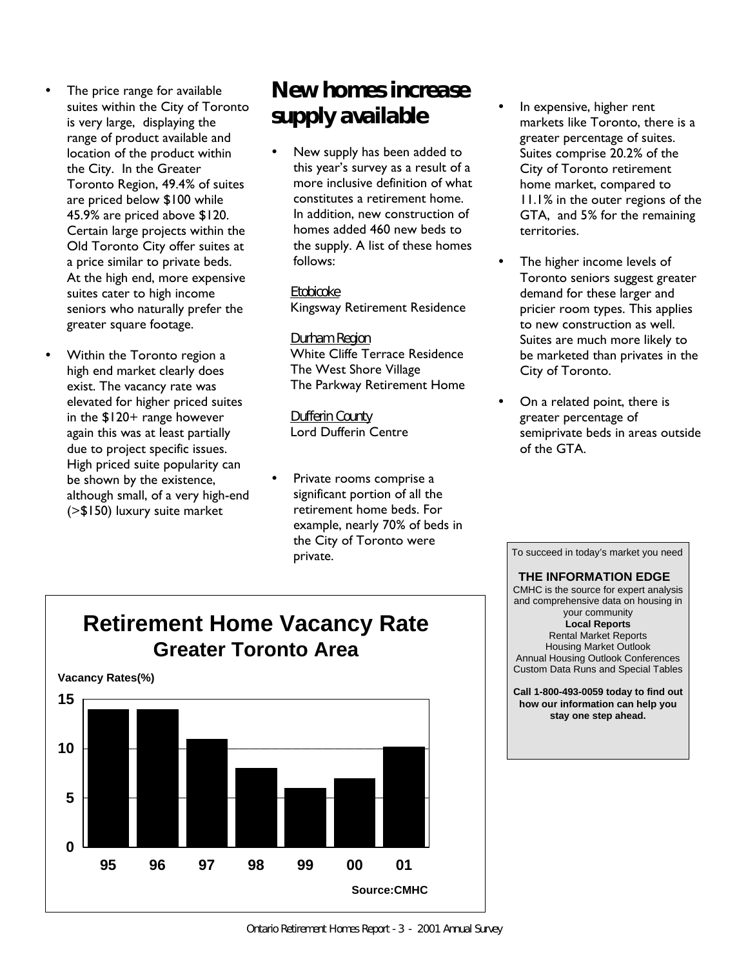- The price range for available suites within the City of Toronto is very large, displaying the range of product available and location of the product within the City. In the Greater Toronto Region, 49.4% of suites are priced below \$100 while 45.9% are priced above \$120. Certain large projects within the Old Toronto City offer suites at a price similar to private beds. At the high end, more expensive suites cater to high income seniors who naturally prefer the greater square footage.
- Within the Toronto region a high end market clearly does exist. The vacancy rate was elevated for higher priced suites in the \$120+ range however again this was at least partially due to project specific issues. High priced suite popularity can be shown by the existence, although small, of a very high-end (>\$150) luxury suite market

# *New homes increase supply available*

New supply has been added to this year's survey as a result of a more inclusive definition of what constitutes a retirement home. In addition, new construction of homes added 460 new beds to the supply. A list of these homes follows:

 *Etobicoke* Kingsway Retirement Residence

### *Durham Region*

 White Cliffe Terrace Residence The West Shore Village The Parkway Retirement Home

 *Dufferin County* Lord Dufferin Centre

Private rooms comprise a significant portion of all the retirement home beds. For example, nearly 70% of beds in the City of Toronto were private.

- In expensive, higher rent markets like Toronto, there is a greater percentage of suites. Suites comprise 20.2% of the City of Toronto retirement home market, compared to 11.1% in the outer regions of the GTA, and 5% for the remaining territories.
- The higher income levels of Toronto seniors suggest greater demand for these larger and pricier room types. This applies to new construction as well. Suites are much more likely to be marketed than privates in the City of Toronto.
- On a related point, there is greater percentage of semiprivate beds in areas outside of the GTA.

To succeed in today's market you need  **THE INFORMATION EDGE** CMHC is the source for expert analysis and comprehensive data on housing in your community **Local Reports** Rental Market Reports Housing Market Outlook Annual Housing Outlook Conferences Custom Data Runs and Special Tables

**Call 1-800-493-0059 today to find out how our information can help you stay one step ahead.**

## **Retirement Home Vacancy Rate Greater Toronto Area**

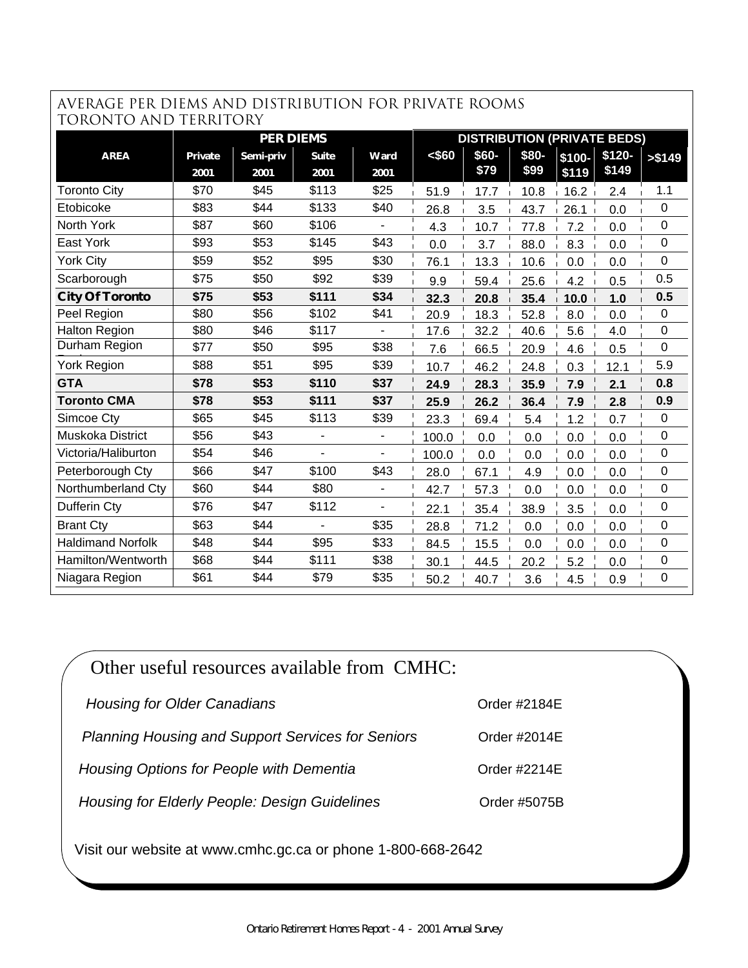### average PER DIEMS AND distribution for private rooms TORONTO AND TERRITORY

| TUKUNTU AND TEKKITUKY    |         |                  |       |                |        |       |       |         |                                    |             |
|--------------------------|---------|------------------|-------|----------------|--------|-------|-------|---------|------------------------------------|-------------|
|                          |         | <b>PER DIEMS</b> |       |                |        |       |       |         | <b>DISTRIBUTION (PRIVATE BEDS)</b> |             |
| <b>AREA</b>              | Private | Semi-priv        | Suite | Ward           | < \$60 | \$60- | \$80- | $$100-$ | $$120-$                            | > \$149     |
|                          | 2001    | 2001             | 2001  | 2001           |        | \$79  | \$99  | \$119   | \$149                              |             |
| <b>Toronto City</b>      | \$70    | \$45             | \$113 | \$25           | 51.9   | 17.7  | 10.8  | 16.2    | 2.4                                | 1.1         |
| Etobicoke                | \$83    | \$44             | \$133 | \$40           | 26.8   | 3.5   | 43.7  | 26.1    | 0.0                                | 0           |
| North York               | \$87    | \$60             | \$106 |                | 4.3    | 10.7  | 77.8  | 7.2     | 0.0                                | 0           |
| East York                | \$93    | \$53             | \$145 | \$43           | 0.0    | 3.7   | 88.0  | 8.3     | 0.0                                | 0           |
| <b>York City</b>         | \$59    | \$52             | \$95  | \$30           | 76.1   | 13.3  | 10.6  | 0.0     | 0.0                                | $\mathbf 0$ |
| Scarborough              | \$75    | \$50             | \$92  | \$39           | 9.9    | 59.4  | 25.6  | 4.2     | 0.5                                | 0.5         |
| <b>City Of Toronto</b>   | \$75    | \$53             | \$111 | \$34           | 32.3   | 20.8  | 35.4  | 10.0    | 1.0                                | 0.5         |
| Peel Region              | \$80    | \$56             | \$102 | \$41           | 20.9   | 18.3  | 52.8  | 8.0     | 0.0                                | $\mathbf 0$ |
| <b>Halton Region</b>     | \$80    | \$46             | \$117 |                | 17.6   | 32.2  | 40.6  | 5.6     | 4.0                                | 0           |
| Durham Region            | \$77    | \$50             | \$95  | \$38           | 7.6    | 66.5  | 20.9  | 4.6     | 0.5                                | 0           |
| <b>York Region</b>       | \$88    | \$51             | \$95  | \$39           | 10.7   | 46.2  | 24.8  | 0.3     | 12.1                               | 5.9         |
| <b>GTA</b>               | \$78    | \$53             | \$110 | \$37           | 24.9   | 28.3  | 35.9  | 7.9     | 2.1                                | 0.8         |
| <b>Toronto CMA</b>       | \$78    | \$53             | \$111 | \$37           | 25.9   | 26.2  | 36.4  | 7.9     | 2.8                                | 0.9         |
| Simcoe Cty               | \$65    | \$45             | \$113 | \$39           | 23.3   | 69.4  | 5.4   | 1.2     | 0.7                                | 0           |
| Muskoka District         | \$56    | \$43             |       |                | 100.0  | 0.0   | 0.0   | 0.0     | 0.0                                | $\mathbf 0$ |
| Victoria/Haliburton      | \$54    | \$46             |       |                | 100.0  | 0.0   | 0.0   | 0.0     | 0.0                                | 0           |
| Peterborough Cty         | \$66    | \$47             | \$100 | \$43           | 28.0   | 67.1  | 4.9   | 0.0     | 0.0                                | $\mathbf 0$ |
| Northumberland Cty       | \$60    | \$44             | \$80  | $\blacksquare$ | 42.7   | 57.3  | 0.0   | 0.0     | 0.0                                | 0           |
| Dufferin Cty             | \$76    | \$47             | \$112 |                | 22.1   | 35.4  | 38.9  | 3.5     | 0.0                                | 0           |
| <b>Brant Cty</b>         | \$63    | \$44             |       | \$35           | 28.8   | 71.2  | 0.0   | 0.0     | 0.0                                | 0           |
| <b>Haldimand Norfolk</b> | \$48    | \$44             | \$95  | \$33           | 84.5   | 15.5  | 0.0   | 0.0     | 0.0                                | $\mathbf 0$ |
| Hamilton/Wentworth       | \$68    | \$44             | \$111 | \$38           | 30.1   | 44.5  | 20.2  | 5.2     | 0.0                                | 0           |
| Niagara Region           | \$61    | \$44             | \$79  | \$35           | 50.2   | 40.7  | 3.6   | 4.5     | 0.9                                | $\mathbf 0$ |

| Other useful resources available from CMHC:                 |                 |
|-------------------------------------------------------------|-----------------|
| <b>Housing for Older Canadians</b>                          | Order $\#2184E$ |
| <b>Planning Housing and Support Services for Seniors</b>    | Order #2014E    |
| Housing Options for People with Dementia                    | Order $\#2214E$ |
| Housing for Elderly People: Design Guidelines               | Order #5075B    |
| Visit our website at www.cmhc.gc.ca or phone 1-800-668-2642 |                 |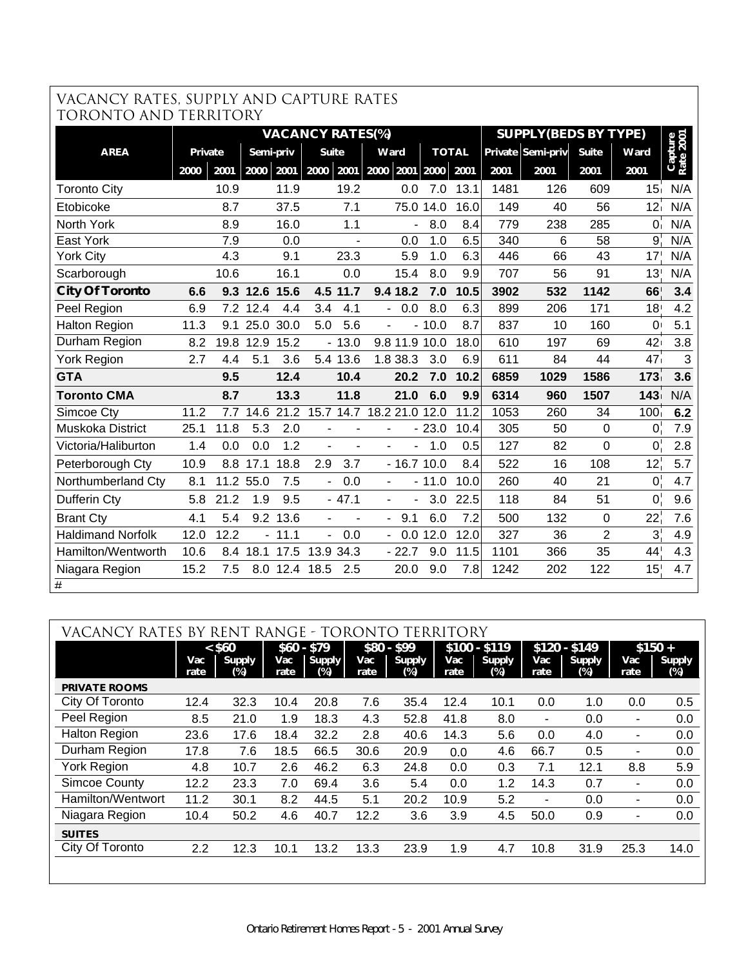### VACANCY RATES, SUPPLY AND CAPTURE RATES TORONTO AND TERRITORY

| TUKUNTU AND TEKKITUKI    |         |      |           |          |                          |                |                                 |           |              |      |                             |                |                  |                      |
|--------------------------|---------|------|-----------|----------|--------------------------|----------------|---------------------------------|-----------|--------------|------|-----------------------------|----------------|------------------|----------------------|
|                          |         |      |           |          | <b>VACANCY RATES(%)</b>  |                |                                 |           |              |      | <b>SUPPLY(BEDS BY TYPE)</b> |                |                  |                      |
| <b>AREA</b>              | Private |      | Semi-priv |          | <b>Suite</b>             |                | Ward                            |           | <b>TOTAL</b> |      | Private Semi-priv           | <b>Suite</b>   | Ward             | Capture<br>Rate 2001 |
|                          | 2000    | 2001 | 2000      | 2001     | 2000                     | 2001           | 2000                            | 2001 2000 | 2001         | 2001 | 2001                        | 2001           | 2001             |                      |
| <b>Toronto City</b>      |         | 10.9 |           | 11.9     |                          | 19.2           | 0.0                             | 7.0       | 13.1         | 1481 | 126                         | 609            | 15 <sub>1</sub>  | N/A                  |
| Etobicoke                |         | 8.7  |           | 37.5     |                          | 7.1            | 75.0                            | 14.0      | 16.0         | 149  | 40                          | 56             | 12 <sub>1</sub>  | N/A                  |
| North York               |         | 8.9  |           | 16.0     |                          | 1.1            |                                 | 8.0       | 8.4          | 779  | 238                         | 285            | $\overline{0}$   | N/A                  |
| East York                |         | 7.9  |           | 0.0      |                          |                | 0.0                             | 1.0       | 6.5          | 340  | 6                           | 58             | 9                | N/A                  |
| <b>York City</b>         |         | 4.3  |           | 9.1      |                          | 23.3           | 5.9                             | 1.0       | 6.3          | 446  | 66                          | 43             | 17'              | N/A                  |
| Scarborough              |         | 10.6 |           | 16.1     |                          | 0.0            | 15.4                            | 8.0       | 9.9          | 707  | 56                          | 91             | 13 <sup>1</sup>  | N/A                  |
| <b>City Of Toronto</b>   | 6.6     | 9.3  | 12.6      | 15.6     |                          | 4.5 11.7       | 9.4 18.2                        | 7.0       | 10.5         | 3902 | 532                         | 1142           | 66               | 3.4                  |
| Peel Region              | 6.9     |      | 7.2 12.4  | 4.4      | 3.4                      | 4.1            | 0.0<br>$\overline{\phantom{0}}$ | 8.0       | 6.3          | 899  | 206                         | 171            | 18 <sup>1</sup>  | 4.2                  |
| <b>Halton Region</b>     | 11.3    | 9.1  | 25.0      | 30.0     | 5.0                      | 5.6            |                                 | 10.0      | 8.7          | 837  | 10                          | 160            | $\overline{0}$   | 5.1                  |
| Durham Region            | 8.2     | 19.8 | 12.9      | 15.2     |                          | $-13.0$        | 9.8 11.9 10.0                   |           | 18.0         | 610  | 197                         | 69             | 42               | 3.8                  |
| <b>York Region</b>       | 2.7     | 4.4  | 5.1       | 3.6      |                          | 5.4 13.6       | 1.8 38.3                        | 3.0       | 6.9          | 611  | 84                          | 44             | 47               | 3                    |
| <b>GTA</b>               |         | 9.5  |           | 12.4     |                          | 10.4           | 20.2                            | 7.0       | 10.2         | 6859 | 1029                        | 1586           | 173              | 3.6                  |
| <b>Toronto CMA</b>       |         | 8.7  |           | 13.3     |                          | 11.8           | 21.0                            | 6.0       | 9.9          | 6314 | 960                         | 1507           | 143              | N/A                  |
| Simcoe Cty               | 11.2    | 7.7  | 14.6      | 21.2     |                          | 15.7 14.7      | 18.2 21.0 12.0                  |           | 11.2         | 1053 | 260                         | 34             | 100 <sub>1</sub> | 6.2                  |
| <b>Muskoka District</b>  | 25.1    | 11.8 | 5.3       | 2.0      |                          |                |                                 | $-23.0$   | 10.4         | 305  | 50                          | $\mathbf 0$    | $\mathbf{0}$     | 7.9                  |
| Victoria/Haliburton      | 1.4     | 0.0  | 0.0       | 1.2      |                          | $\overline{a}$ |                                 | 1.0       | 0.5          | 127  | 82                          | $\overline{0}$ | $\mathsf 0$      | 2.8                  |
| Peterborough Cty         | 10.9    | 8.8  | 17.1      | 18.8     | 2.9                      | 3.7            | $-16.710.0$                     |           | 8.4          | 522  | 16                          | 108            | 12 <sup>1</sup>  | 5.7                  |
| Northumberland Cty       | 8.1     |      | 11.2 55.0 | 7.5      | $\overline{\phantom{0}}$ | 0.0            | $\overline{\phantom{0}}$        | $-11.0$   | 10.0         | 260  | 40                          | 21             | $\mathbf{0}$     | 4.7                  |
| Dufferin Cty             | 5.8     | 21.2 | 1.9       | 9.5      |                          | $-47.1$        | $\blacksquare$                  | 3.0       | 22.5         | 118  | 84                          | 51             | 0 <sup>1</sup>   | 9.6                  |
| <b>Brant Cty</b>         | 4.1     | 5.4  |           | 9.2 13.6 |                          |                | 9.1<br>$\overline{\phantom{0}}$ | 6.0       | 7.2          | 500  | 132                         | $\overline{0}$ | 22 <sup>1</sup>  | 7.6                  |
| <b>Haldimand Norfolk</b> | 12.0    | 12.2 | ÷.        | 11.1     | L.                       | 0.0            | 0.0<br>$\overline{\phantom{0}}$ | 12.0      | 12.0         | 327  | 36                          | $\overline{2}$ | 3 <sup>1</sup>   | 4.9                  |
| Hamilton/Wentworth       | 10.6    | 8.4  | 18.1      | 17.5     |                          | 13.9 34.3      | $-22.7$                         | 9.0       | 11.5         | 1101 | 366                         | 35             | 44               | 4.3                  |
| Niagara Region           | 15.2    | 7.5  |           |          | 8.0 12.4 18.5            | 2.5            | 20.0                            | 9.0       | 7.8          | 1242 | 202                         | 122            | 15               | 4.7                  |
| $\boldsymbol{\mu}$       |         |      |           |          |                          |                |                                 |           |              |      |                             |                |                  |                      |

| VACANCY RATES BY     |             | REN <sup>®</sup>     |             | RANGE - TORONTO      |             |                         | TERRITORY   |                         |                          |                         |                |                      |
|----------------------|-------------|----------------------|-------------|----------------------|-------------|-------------------------|-------------|-------------------------|--------------------------|-------------------------|----------------|----------------------|
|                      |             | $<$ \$60             | $$60 - $79$ |                      |             | $$80 - $99$             |             | $$100 - $119$           |                          | $$120 - $149$           |                | $$150 +$             |
|                      | Vac<br>rate | <b>Supply</b><br>(%) | Vac<br>rate | <b>Supply</b><br>(%) | Vac<br>rate | <b>Supply</b><br>$(\%)$ | Vac<br>rate | <b>Supply</b><br>$(\%)$ | Vac<br>rate              | <b>Supply</b><br>$(\%)$ | Vac<br>rate    | <b>Supply</b><br>(%) |
| <b>PRIVATE ROOMS</b> |             |                      |             |                      |             |                         |             |                         |                          |                         |                |                      |
| City Of Toronto      | 12.4        | 32.3                 | 10.4        | 20.8                 | 7.6         | 35.4                    | 12.4        | 10.1                    | 0.0                      | 1.0                     | 0.0            | 0.5                  |
| Peel Region          | 8.5         | 21.0                 | 1.9         | 18.3                 | 4.3         | 52.8                    | 41.8        | 8.0                     | $\overline{\phantom{a}}$ | 0.0                     | $\blacksquare$ | 0.0                  |
| <b>Halton Region</b> | 23.6        | 17.6                 | 18.4        | 32.2                 | 2.8         | 40.6                    | 14.3        | 5.6                     | 0.0                      | 4.0                     | ٠              | 0.0                  |
| Durham Region        | 17.8        | 7.6                  | 18.5        | 66.5                 | 30.6        | 20.9                    | 0.0         | 4.6                     | 66.7                     | 0.5                     | ۰              | 0.0                  |
| <b>York Region</b>   | 4.8         | 10.7                 | $2.6\,$     | 46.2                 | 6.3         | 24.8                    | 0.0         | 0.3                     | 7.1                      | 12.1                    | 8.8            | 5.9                  |
| <b>Simcoe County</b> | 12.2        | 23.3                 | 7.0         | 69.4                 | 3.6         | 5.4                     | 0.0         | 1.2                     | 14.3                     | 0.7                     | ۰              | 0.0                  |
| Hamilton/Wentwort    | 11.2        | 30.1                 | 8.2         | 44.5                 | 5.1         | 20.2                    | 10.9        | 5.2                     | $\overline{\phantom{a}}$ | 0.0                     | $\blacksquare$ | 0.0                  |
| Niagara Region       | 10.4        | 50.2                 | 4.6         | 40.7                 | 12.2        | 3.6                     | 3.9         | 4.5                     | 50.0                     | 0.9                     | $\blacksquare$ | 0.0                  |
| <b>SUITES</b>        |             |                      |             |                      |             |                         |             |                         |                          |                         |                |                      |
| City Of Toronto      | 2.2         | 12.3                 | 10.1        | 13.2                 | 13.3        | 23.9                    | 1.9         | 4.7                     | 10.8                     | 31.9                    | 25.3           | 14.0                 |
|                      |             |                      |             |                      |             |                         |             |                         |                          |                         |                |                      |
|                      |             |                      |             |                      |             |                         |             |                         |                          |                         |                |                      |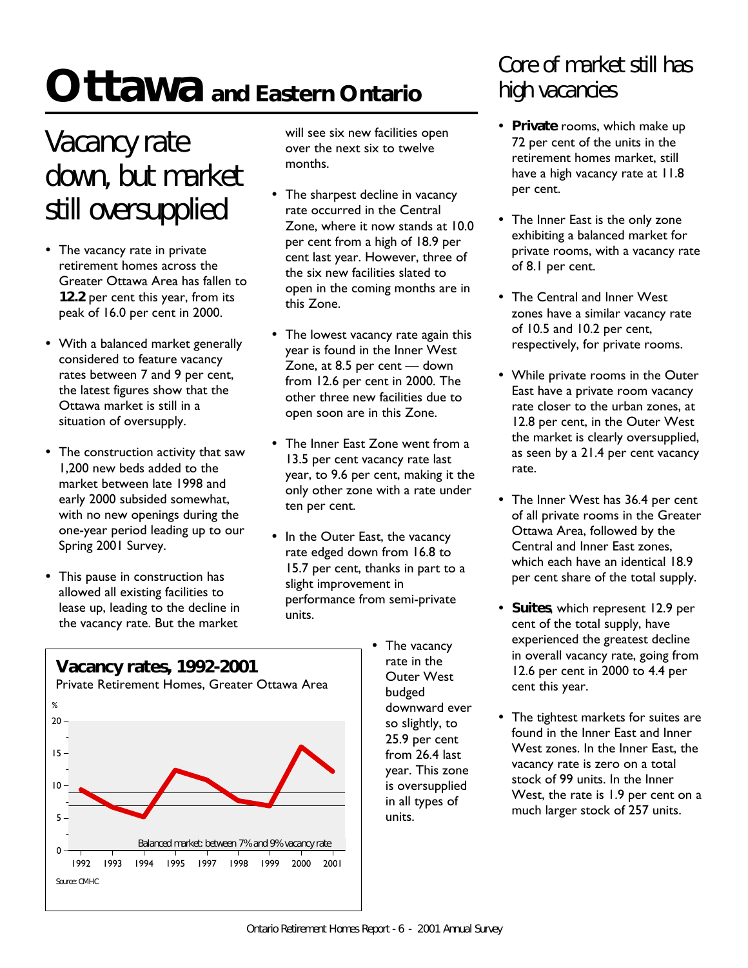# **Ottawa and Eastern Ontario**

# *Vacancy rate down, but market still oversupplied*

- The vacancy rate in private retirement homes across the Greater Ottawa Area has fallen to **12.2** per cent this year, from its peak of 16.0 per cent in 2000.
- With a balanced market generally considered to feature vacancy rates between 7 and 9 per cent, the latest figures show that the Ottawa market is still in a situation of oversupply.
- The construction activity that saw 1,200 new beds added to the market between late 1998 and early 2000 subsided somewhat, with no new openings during the one-year period leading up to our Spring 2001 Survey.
- This pause in construction has allowed all existing facilities to lease up, leading to the decline in the vacancy rate. But the market

will see six new facilities open over the next six to twelve months.

- The sharpest decline in vacancy rate occurred in the Central Zone, where it now stands at 10.0 per cent from a high of 18.9 per cent last year. However, three of the six new facilities slated to open in the coming months are in this Zone.
- The lowest vacancy rate again this year is found in the Inner West Zone, at 8.5 per cent — down from 12.6 per cent in 2000. The other three new facilities due to open soon are in this Zone.
- The Inner East Zone went from a 13.5 per cent vacancy rate last year, to 9.6 per cent, making it the only other zone with a rate under ten per cent.
- In the Outer East, the vacancy rate edged down from 16.8 to 15.7 per cent, thanks in part to a slight improvement in performance from semi-private units.
	- The vacancy rate in the Outer West budged downward ever so slightly, to 25.9 per cent from 26.4 last year. This zone is oversupplied in all types of units.

# *Core of market still has high vacancies*

- **Private** rooms, which make up 72 per cent of the units in the retirement homes market, still have a high vacancy rate at 11.8 per cent.
- The Inner East is the only zone exhibiting a balanced market for private rooms, with a vacancy rate of 8.1 per cent.
- The Central and Inner West zones have a similar vacancy rate of 10.5 and 10.2 per cent, respectively, for private rooms.
- While private rooms in the Outer East have a private room vacancy rate closer to the urban zones, at 12.8 per cent, in the Outer West the market is clearly oversupplied, as seen by a 21.4 per cent vacancy rate.
- The Inner West has 36.4 per cent of all private rooms in the Greater Ottawa Area, followed by the Central and Inner East zones, which each have an identical 18.9 per cent share of the total supply.
- ü **Suites**, which represent 12.9 per cent of the total supply, have experienced the greatest decline in overall vacancy rate, going from 12.6 per cent in 2000 to 4.4 per cent this year.
- The tightest markets for suites are found in the Inner East and Inner West zones. In the Inner East, the vacancy rate is zero on a total stock of 99 units. In the Inner West, the rate is 1.9 per cent on a much larger stock of 257 units.

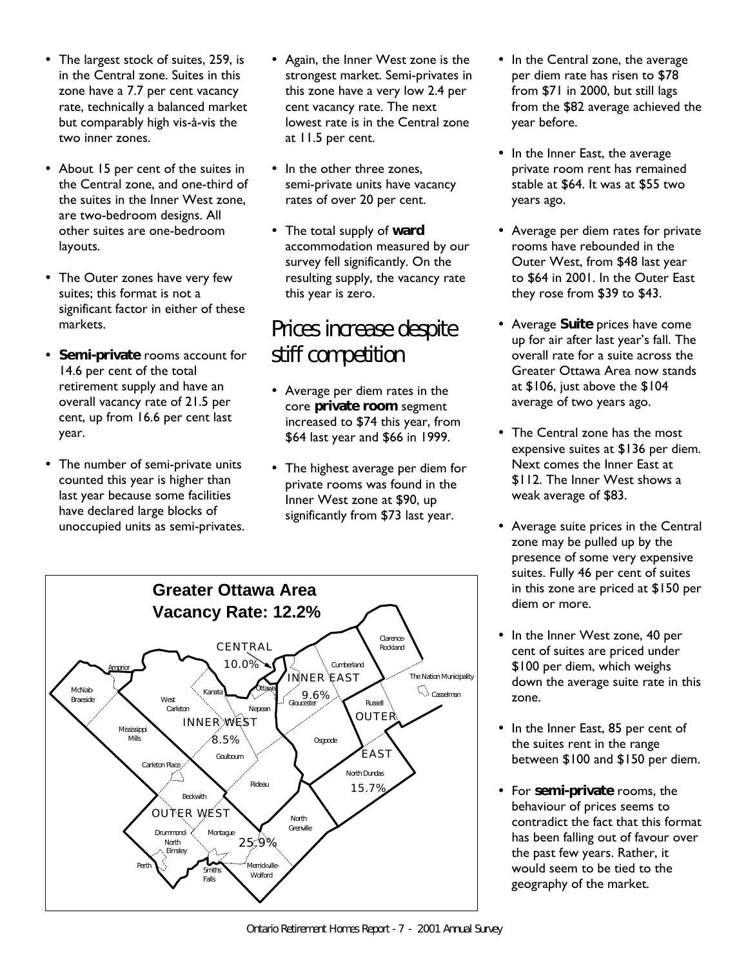- The largest stock of suites, 259, is in the Central zone. Suites in this zone have a 7.7 per cent vacancy rate, technically a balanced market but comparably high vis-à-vis the two inner zones.
- About 15 per cent of the suites in the Central zone, and one-third of the suites in the Inner West zone, are two-bedroom designs. All other suites are one-bedroom layouts.
- The Outer zones have very few suites; this format is not a significant factor in either of these markets.
- ü **Semi-private** rooms account for 14.6 per cent of the total retirement supply and have an overall vacancy rate of 21.5 per cent, up from 16.6 per cent last year.
- The number of semi-private units counted this year is higher than last year because some facilities have declared large blocks of unoccupied units as semi-privates.
- Again, the Inner West zone is the strongest market. Semi-privates in this zone have a very low 2.4 per cent vacancy rate. The next lowest rate is in the Central zone at 11.5 per cent.
- In the other three zones, semi-private units have vacancy rates of over 20 per cent.
- The total supply of **ward** accommodation measured by our survey fell significantly. On the resulting supply, the vacancy rate this year is zero.

### *Prices increase despite stiff competition*

- Average per diem rates in the core **private room** segment increased to \$74 this year, from \$64 last year and \$66 in 1999.
- The highest average per diem for private rooms was found in the Inner West zone at \$90, up significantly from \$73 last year.
- In the Central zone, the average per diem rate has risen to \$78 from \$71 in 2000, but still lags from the \$82 average achieved the year before.
- In the Inner East, the average private room rent has remained stable at \$64. It was at \$55 two years ago.
- Average per diem rates for private rooms have rebounded in the Outer West, from \$48 last year to \$64 in 2001. In the Outer East they rose from \$39 to \$43.
- **Average Suite prices have come** up for air after last year's fall. The overall rate for a suite across the Greater Ottawa Area now stands at \$106, just above the \$104 average of two years ago.
- The Central zone has the most expensive suites at \$136 per diem. Next comes the Inner East at \$112. The Inner West shows a weak average of \$83.
- Average suite prices in the Central zone may be pulled up by the presence of some very expensive suites. Fully 46 per cent of suites in this zone are priced at \$150 per diem or more.
- In the Inner West zone, 40 per cent of suites are priced under \$100 per diem, which weighs down the average suite rate in this zone.
- In the Inner East, 85 per cent of the suites rent in the range between \$100 and \$150 per diem.
- ü For **semi-private** rooms, the behaviour of prices seems to contradict the fact that this format has been falling out of favour over the past few years. Rather, it would seem to be tied to the geography of the market.

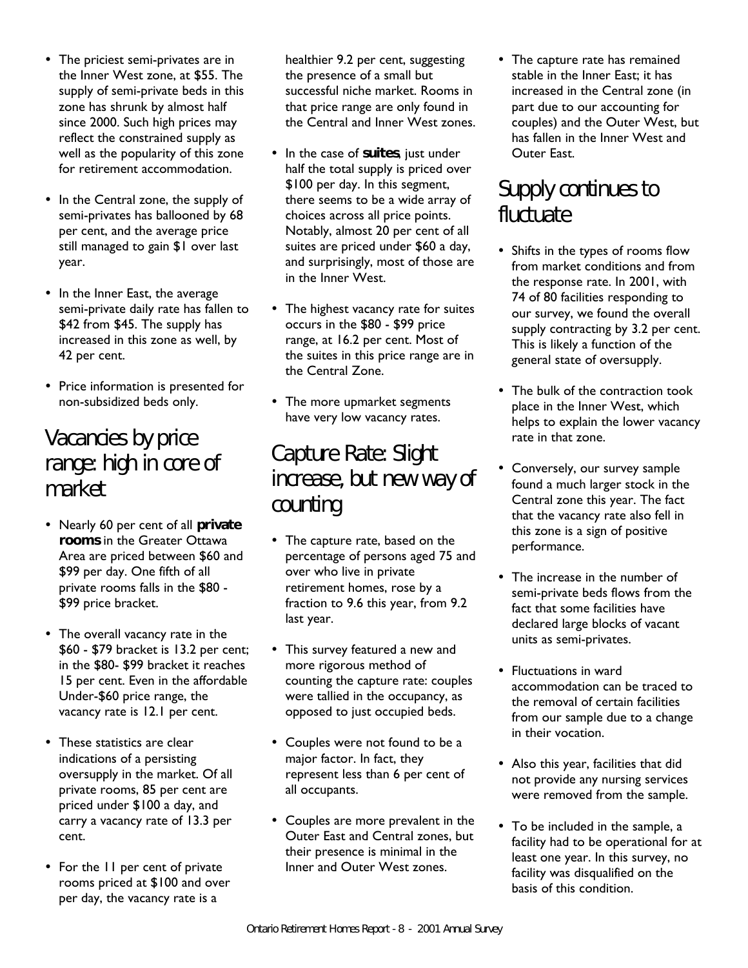- The priciest semi-privates are in the Inner West zone, at \$55. The supply of semi-private beds in this zone has shrunk by almost half since 2000. Such high prices may reflect the constrained supply as well as the popularity of this zone for retirement accommodation.
- In the Central zone, the supply of semi-privates has ballooned by 68 per cent, and the average price still managed to gain \$1 over last year.
- In the Inner East, the average semi-private daily rate has fallen to \$42 from \$45. The supply has increased in this zone as well, by 42 per cent.
- Price information is presented for non-subsidized beds only.

### *Vacancies by price range: high in core of market*

- ü Nearly 60 per cent of all **private rooms** in the Greater Ottawa Area are priced between \$60 and \$99 per day. One fifth of all private rooms falls in the \$80 - \$99 price bracket.
- The overall vacancy rate in the \$60 - \$79 bracket is 13.2 per cent; in the \$80- \$99 bracket it reaches 15 per cent. Even in the affordable Under-\$60 price range, the vacancy rate is 12.1 per cent.
- These statistics are clear indications of a persisting oversupply in the market. Of all private rooms, 85 per cent are priced under \$100 a day, and carry a vacancy rate of 13.3 per cent.
- For the 11 per cent of private rooms priced at \$100 and over per day, the vacancy rate is a

healthier 9.2 per cent, suggesting the presence of a small but successful niche market. Rooms in that price range are only found in the Central and Inner West zones.

- In the case of suites, just under half the total supply is priced over \$100 per day. In this segment, there seems to be a wide array of choices across all price points. Notably, almost 20 per cent of all suites are priced under \$60 a day, and surprisingly, most of those are in the Inner West.
- The highest vacancy rate for suites occurs in the \$80 - \$99 price range, at 16.2 per cent. Most of the suites in this price range are in the Central Zone.
- The more upmarket segments have very low vacancy rates.

## *Capture Rate: Slight increase, but new way of counting*

- The capture rate, based on the percentage of persons aged 75 and over who live in private retirement homes, rose by a fraction to 9.6 this year, from 9.2 last year.
- This survey featured a new and more rigorous method of counting the capture rate: couples were tallied in the occupancy, as opposed to just occupied beds.
- Couples were not found to be a major factor. In fact, they represent less than 6 per cent of all occupants.
- Couples are more prevalent in the Outer East and Central zones, but their presence is minimal in the Inner and Outer West zones.

• The capture rate has remained stable in the Inner East; it has increased in the Central zone (in part due to our accounting for couples) and the Outer West, but has fallen in the Inner West and Outer East.

### *Supply continues to fluctuate*

- Shifts in the types of rooms flow from market conditions and from the response rate. In 2001, with 74 of 80 facilities responding to our survey, we found the overall supply contracting by 3.2 per cent. This is likely a function of the general state of oversupply.
- The bulk of the contraction took place in the Inner West, which helps to explain the lower vacancy rate in that zone.
- Conversely, our survey sample found a much larger stock in the Central zone this year. The fact that the vacancy rate also fell in this zone is a sign of positive performance.
- The increase in the number of semi-private beds flows from the fact that some facilities have declared large blocks of vacant units as semi-privates.
- Fluctuations in ward accommodation can be traced to the removal of certain facilities from our sample due to a change in their vocation.
- Also this year, facilities that did not provide any nursing services were removed from the sample.
- To be included in the sample, a facility had to be operational for at least one year. In this survey, no facility was disqualified on the basis of this condition.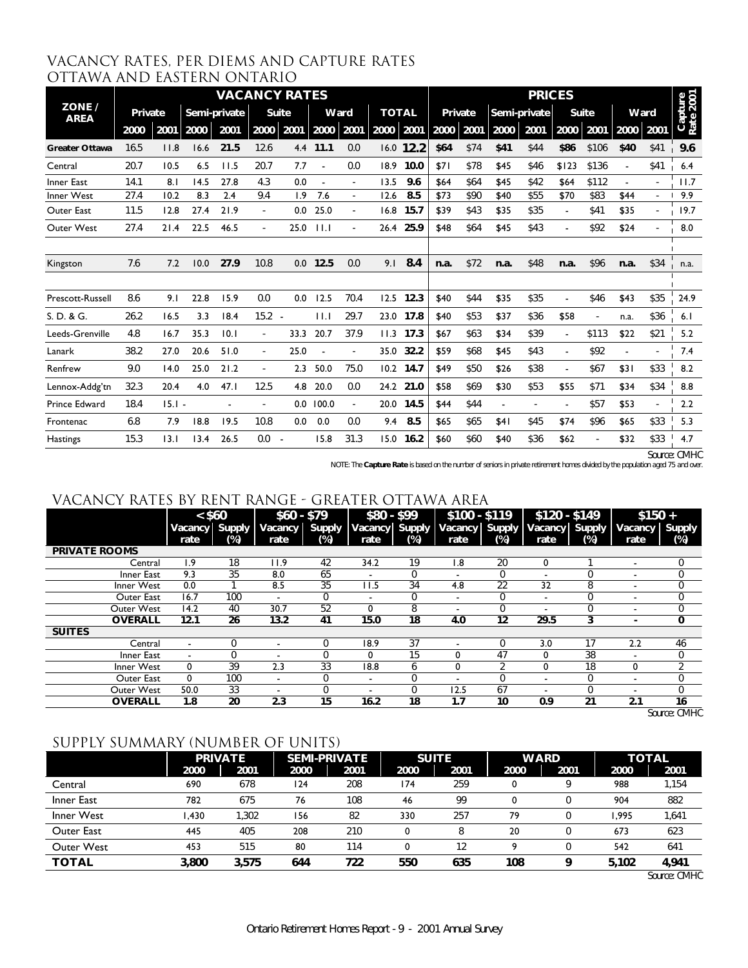| VACANCY RATES, PER DIEMS AND CAPTURE RATES |  |  |
|--------------------------------------------|--|--|
| OTTAWA AND EASTERN ONTARIO                 |  |  |

|                       | <b>VACANCY RATES</b> |          |      |              |          |              |       |                          |              |           | <b>PRICES</b> |      |                |              |                |       |                          |      |                      |
|-----------------------|----------------------|----------|------|--------------|----------|--------------|-------|--------------------------|--------------|-----------|---------------|------|----------------|--------------|----------------|-------|--------------------------|------|----------------------|
| ZONE /<br><b>AREA</b> | Private              |          |      | Semi-private |          | <b>Suite</b> |       | Ward                     | <b>TOTAL</b> |           | Private       |      |                | Semi-private |                | Suite | Ward                     |      | Capture<br>Rate 2001 |
|                       | 2000                 | 2001     | 2000 | 2001         | 2000     | 2001         | 2000  | 2001                     | 2000         | 2001      | 2000          | 2001 | 2000           | 2001         | 2000           | 2001  | 2000                     | 2001 |                      |
| <b>Greater Ottawa</b> | 16.5                 | 11.8     | 16.6 | 21.5         | 12.6     | 4.4          | 11.1  | 0.0                      | 16.0         | 12.2      | \$64          | \$74 | \$41           | \$44         | \$86           | \$106 | \$40                     | \$41 | 9.6                  |
| Central               | 20.7                 | 10.5     | 6.5  | 11.5         | 20.7     | 7.7          |       | 0.0                      | 18.9         | 10.0      | \$71          | \$78 | \$45           | \$46         | \$123          | \$136 |                          | \$41 | 6.4                  |
| Inner East            | 14.1                 | 8.1      | 14.5 | 27.8         | 4.3      | 0.0          |       |                          | 13.5         | 9.6       | \$64          | \$64 | \$45           | \$42         | \$64           | \$112 |                          |      | 11.7                 |
| Inner West            | 27.4                 | 10.2     | 8.3  | 2.4          | 9.4      | 1.9          | 7.6   | $\overline{\phantom{a}}$ | 12.6         | 8.5       | \$73          | \$90 | \$40           | \$55         | \$70           | \$83  | \$44                     |      | 9.9                  |
| Outer East            | 11.5                 | 12.8     | 27.4 | 21.9         |          | 0.0          | 25.0  |                          | 16.8         | 15.7      | \$39          | \$43 | \$35           | \$35         |                | \$41  | \$35                     |      | 19.7                 |
| Outer West            | 27.4                 | 21.4     | 22.5 | 46.5         |          | 25.0         | 11.1  |                          |              | 26.4 25.9 | \$48          | \$64 | \$45           | \$43         |                | \$92  | \$24                     |      | 8.0                  |
|                       |                      |          |      |              |          |              |       |                          |              |           |               |      |                |              |                |       |                          |      |                      |
| Kingston              | 7.6                  | 7.2      | 10.0 | 27.9         | 10.8     | 0.0          | 12.5  | 0.0                      | 9.1          | 8.4       | n.a.          | \$72 | n.a.           | \$48         | n.a.           | \$96  | n.a.                     | \$34 | n.a.                 |
|                       |                      |          |      |              |          |              |       |                          |              |           |               |      |                |              |                |       |                          |      |                      |
| Prescott-Russell      | 8.6                  | 9.1      | 22.8 | 15.9         | 0.0      | 0.0          | 12.5  | 70.4                     | 12.5         | 12.3      | \$40          | \$44 | \$35           | \$35         |                | \$46  | \$43                     | \$35 | 24.9                 |
| S. D. & G.            | 26.2                 | 16.5     | 3.3  | 18.4         | $15.2 -$ |              | 11.1  | 29.7                     | 23.0         | 17.8      | \$40          | \$53 | \$37           | \$36         | \$58           |       | n.a.                     | \$36 | 6.1                  |
| Leeds-Grenville       | 4.8                  | 16.7     | 35.3 | 10.1         |          | 33.3         | 20.7  | 37.9                     | 11.3         | 17.3      | \$67          | \$63 | \$34           | \$39         |                | \$113 | \$22                     | \$21 | 5.2                  |
| Lanark                | 38.2                 | 27.0     | 20.6 | 51.0         |          | 25.0         |       |                          | 35.0         | 32.2      | \$59          | \$68 | \$45           | \$43         |                | \$92  | $\overline{\phantom{a}}$ |      | 7.4                  |
| Renfrew               | 9.0                  | 14.0     | 25.0 | 21.2         |          | 2.3          | 50.0  | 75.0                     | 10.2         | 14.7      | \$49          | \$50 | \$26           | \$38         | $\blacksquare$ | \$67  | \$31                     | \$33 | 8.2                  |
| Lennox-Addg'tn        | 32.3                 | 20.4     | 4.0  | 47.1         | 12.5     | 4.8          | 20.0  | 0.0                      | 24.2         | 21.0      | \$58          | \$69 | \$30           | \$53         | \$55           | \$71  | \$34                     | \$34 | 8.8                  |
| <b>Prince Edward</b>  | 18.4                 | $15.1 -$ |      |              |          | 0.0          | 100.0 | $\sim$                   | 20.0         | 14.5      | \$44          | \$44 | $\blacksquare$ |              |                | \$57  | \$53                     |      | 2.2                  |
| Frontenac             | 6.8                  | 7.9      | 18.8 | 19.5         | 10.8     | 0.0          | 0.0   | 0.0                      | 9.4          | 8.5       | \$65          | \$65 | \$41           | \$45         | \$74           | \$96  | \$65                     | \$33 | 5.3                  |
| <b>Hastings</b>       | 15.3                 | 13.1     | 13.4 | 26.5         | 0.0      |              | 15.8  | 31.3                     | 15.0         | 16.2      | \$60          | \$60 | \$40           | \$36         | \$62           |       | \$32                     | \$33 | 4.7                  |

*Source: CMHC*

*NOTE: The Capture Rate is based on the number of seniors in private retirement homes divided by the population aged 75 and over.*

### vacancy rates by rent range - greater ottawa area

|                      | $<$ \$60<br><b>Vacancy</b> | Supply | $$60 - $79$<br>Vacancy   | <b>Supply</b> | $$80 - $99$<br>Vacancy   | <b>Supply</b> | $$100 - $119$<br>Vacancy Supply |        | $$120 - $149$<br>Vacancy Supply |     | $$150 +$<br>Vacancy Supply |          |
|----------------------|----------------------------|--------|--------------------------|---------------|--------------------------|---------------|---------------------------------|--------|---------------------------------|-----|----------------------------|----------|
|                      | rate                       | (%)    | rate                     | (%)           | rate                     | $(\%)$        | rate                            | $(\%)$ | rate                            | (%) | rate                       | $(\%)$   |
| <b>PRIVATE ROOMS</b> |                            |        |                          |               |                          |               |                                 |        |                                 |     |                            |          |
| Central              | ۱.9                        | 18     | 11.9                     | 42            | 34.2                     | 19            | 8. I                            | 20     | 0                               |     | ۰                          | 0        |
| Inner East           | 9.3                        | 35     | 8.0                      | 65            |                          | 0             |                                 | 0      |                                 |     |                            |          |
| Inner West           | 0.0                        |        | 8.5                      | 35            | 11.5                     | 34            | 4.8                             | 22     | 32                              | 8   |                            | 0        |
| Outer East           | 16.7                       | 100    | $\overline{\phantom{a}}$ | 0             | $\overline{\phantom{a}}$ | 0             | -                               | 0      | $\overline{\phantom{a}}$        | 0   |                            | 0        |
| Outer West           | 14.2                       | 40     | 30.7                     | 52            | 0                        | 8             | -                               | 0      |                                 | 0   | $\overline{\phantom{a}}$   | 0        |
| <b>OVERALL</b>       | 12.1                       | 26     | 13.2                     | 41            | 15.0                     | 18            | 4.0                             | 12     | 29.5                            | 3   |                            | 0        |
| <b>SUITES</b>        |                            |        |                          |               |                          |               |                                 |        |                                 |     |                            |          |
| Central              | ٠                          | O      | $\overline{\phantom{a}}$ | N             | 18.9                     | 37            |                                 | 0      | 3.0                             | 17  | 2.2                        | 46       |
| Inner East           | ٠                          |        |                          | N             | 0                        | 15            |                                 | 47     | 0                               | 38  |                            | 0        |
| Inner West           | 0                          | 39     | 2.3                      | 33            | 18.8                     | 6             | 0                               | C      | 0                               | 18  | 0                          | っ        |
| Outer East           | $\mathbf 0$                | 100    | $\overline{\phantom{a}}$ | 0             | $\overline{\phantom{a}}$ | 0             |                                 | 0      |                                 | 0   | -                          | $\Omega$ |
| Outer West           | 50.0                       | 33     | $\overline{\phantom{a}}$ | 0             |                          | 0             | 12.5                            | 67     |                                 | 0   |                            | $\Omega$ |
| <b>OVERALL</b>       | 1.8                        | 20     | 2.3                      | 15            | 16.2                     | 18            | 1.7                             | 10     | 0.9                             | 21  | 2.1                        | 16       |

*Source: CMHC*

### SUPPLY SUMMARY (NUMBER OF UNITS)

|                   | <b>PRIVATE</b> |       | <b>SEMI-PRIVATE</b> |      |      | <b>SUITE</b> |      | <b>WARD</b> | <b>TOTAL</b> |       |  |
|-------------------|----------------|-------|---------------------|------|------|--------------|------|-------------|--------------|-------|--|
|                   | 2000           | 2001  | 2000                | 2001 | 2000 | 2001         | 2000 | 2001        | 2000         | 2001  |  |
| Central           | 690            | 678   | 124                 | 208  | 174  | 259          |      | ο           | 988          | 1,154 |  |
| Inner East        | 782            | 675   | 76                  | 108  | 46   | 99           |      |             | 904          | 882   |  |
| Inner West        | .430           | 1.302 | 156                 | 82   | 330  | 257          | 79   |             | .995         | 1,641 |  |
| Outer East        | 445            | 405   | 208                 | 210  | 0    |              | 20   |             | 673          | 623   |  |
| <b>Outer West</b> | 453            | 515   | 80                  | 114  | 0    | 12           |      |             | 542          | 641   |  |
| TOTAL             | 3,800          | 3,575 | 644                 | 722  | 550  | 635          | 108  | a           | 5,102        | 4,941 |  |

*Source: CMHC*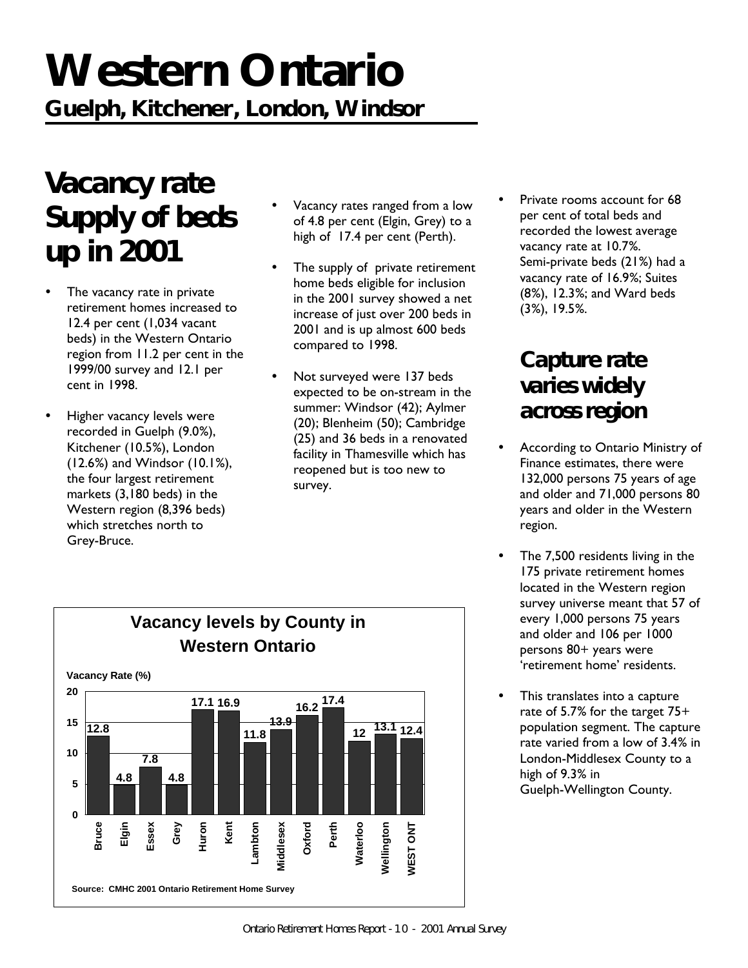# **Western Ontario**

**Guelph, Kitchener, London, Windsor**

# *Vacancy rate Supply of beds up in 2001*

- The vacancy rate in private retirement homes increased to 12.4 per cent (1,034 vacant beds) in the Western Ontario region from 11.2 per cent in the 1999/00 survey and 12.1 per cent in 1998.
- Higher vacancy levels were recorded in Guelph (9.0%), Kitchener (10.5%), London (12.6%) and Windsor (10.1%), the four largest retirement markets (3,180 beds) in the Western region (8,396 beds) which stretches north to Grey-Bruce.
- Vacancy rates ranged from a low of 4.8 per cent (Elgin, Grey) to a high of 17.4 per cent (Perth).
- The supply of private retirement home beds eligible for inclusion in the 2001 survey showed a net increase of just over 200 beds in 2001 and is up almost 600 beds compared to 1998.
- Not surveyed were 137 beds expected to be on-stream in the summer: Windsor (42); Aylmer (20); Blenheim (50); Cambridge (25) and 36 beds in a renovated facility in Thamesville which has reopened but is too new to survey.
- Private rooms account for 68 per cent of total beds and recorded the lowest average vacancy rate at 10.7%. Semi-private beds (21%) had a vacancy rate of 16.9%; Suites (8%), 12.3%; and Ward beds (3%), 19.5%.

## *Capture rate varies widely across region*

- According to Ontario Ministry of Finance estimates, there were 132,000 persons 75 years of age and older and 71,000 persons 80 years and older in the Western region.
- The 7,500 residents living in the 175 private retirement homes located in the Western region survey universe meant that 57 of every 1,000 persons 75 years and older and 106 per 1000 persons 80+ years were 'retirement home' residents.
- This translates into a capture rate of 5.7% for the target 75+ population segment. The capture rate varied from a low of 3.4% in London-Middlesex County to a high of 9.3% in Guelph-Wellington County.

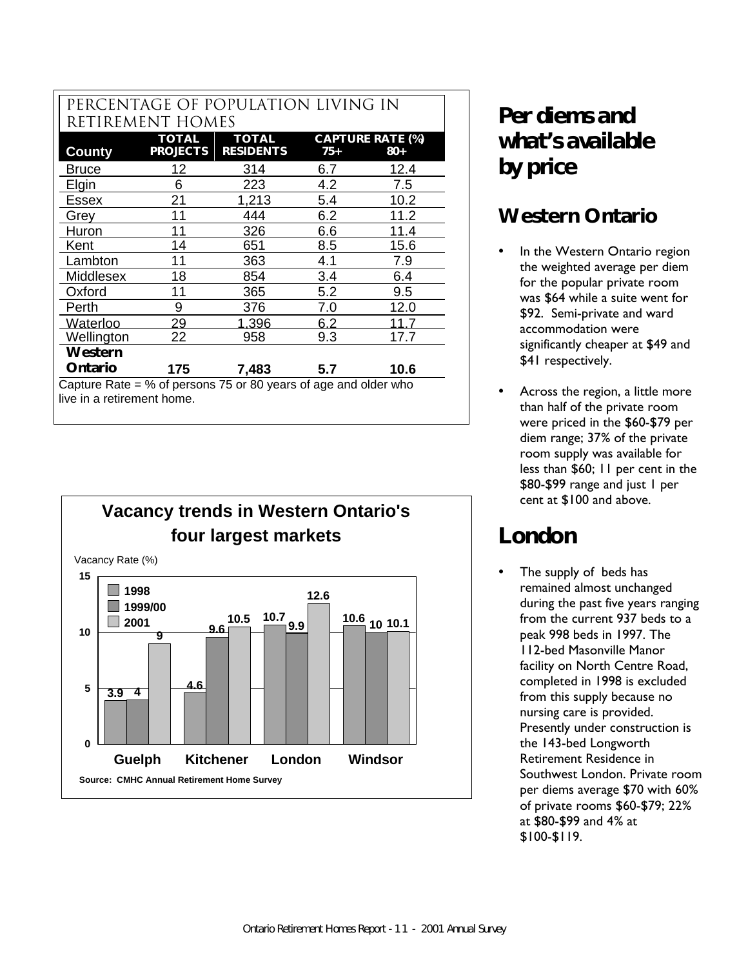### PERCENTAGE OF POPULATION LIVING IN rETIREMENT hOMES

| <b>TOTAL</b><br><b>TOTAL</b><br><b>CAPTURE RATE (%)</b>                                         |                 |                  |     |              |  |  |  |  |  |  |
|-------------------------------------------------------------------------------------------------|-----------------|------------------|-----|--------------|--|--|--|--|--|--|
| County                                                                                          | <b>PROJECTS</b> | <b>RESIDENTS</b> | 75+ | 80+          |  |  |  |  |  |  |
| <b>Bruce</b>                                                                                    | 12              | 314              | 6.7 | 12.4         |  |  |  |  |  |  |
| Elgin                                                                                           | 6               | 223              | 4.2 | 7.5          |  |  |  |  |  |  |
| Essex                                                                                           | 21              | 1,213            | 5.4 | 10.2         |  |  |  |  |  |  |
| Grey                                                                                            | 11              | 444              | 6.2 | 11.2         |  |  |  |  |  |  |
| Huron                                                                                           |                 | 326              | 6.6 | <u> 11.4</u> |  |  |  |  |  |  |
| Kent                                                                                            | 14              | 651              | 8.5 | 15.6         |  |  |  |  |  |  |
| Lambton                                                                                         | 11              | 363              | 4.1 | 7.9          |  |  |  |  |  |  |
| Middlesex                                                                                       | 18              | 854              | 3.4 | 6.4          |  |  |  |  |  |  |
| Oxford                                                                                          | 11              | 365              | 5.2 | 9.5          |  |  |  |  |  |  |
| Perth                                                                                           | 9               | 376              | 7.0 | 12.0         |  |  |  |  |  |  |
| Waterloo                                                                                        | 29              | 1.396            | 6.2 |              |  |  |  |  |  |  |
| Wellington                                                                                      | 22              | 958              | 9.3 | 17.7         |  |  |  |  |  |  |
| Western                                                                                         |                 |                  |     |              |  |  |  |  |  |  |
| Ontario                                                                                         | 175             | 7,483            | 5.7 | 10.6         |  |  |  |  |  |  |
| Capture Rate $=$ % of persons 75 or 80 years of age and older who<br>live in a retirement home. |                 |                  |     |              |  |  |  |  |  |  |





## *Per diems and what's available by price*

## **Western Ontario**

- In the Western Ontario region the weighted average per diem for the popular private room was \$64 while a suite went for \$92. Semi-private and ward accommodation were significantly cheaper at \$49 and \$41 respectively.
- Across the region, a little more than half of the private room were priced in the \$60-\$79 per diem range; 37% of the private room supply was available for less than \$60; 11 per cent in the \$80-\$99 range and just 1 per cent at \$100 and above.

# **London**

The supply of beds has remained almost unchanged during the past five years ranging from the current 937 beds to a peak 998 beds in 1997. The 112-bed Masonville Manor facility on North Centre Road, completed in 1998 is excluded from this supply because no nursing care is provided. Presently under construction is the 143-bed Longworth Retirement Residence in Southwest London. Private room per diems average \$70 with 60% of private rooms \$60-\$79; 22% at \$80-\$99 and 4% at \$100-\$119.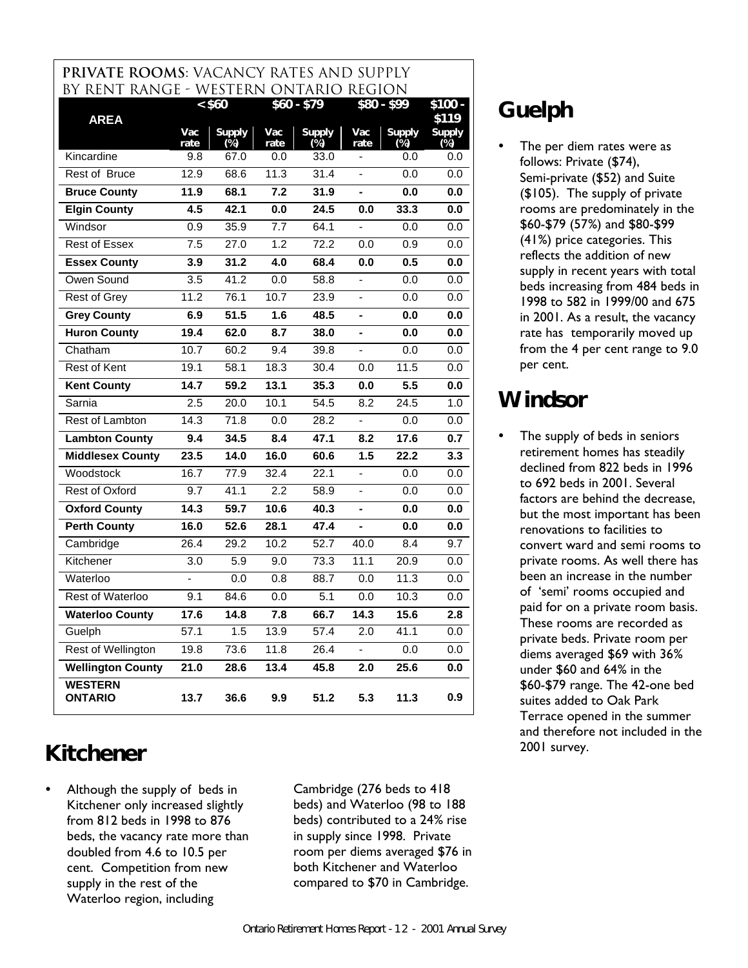### **pRIVATE ROOMS**: Vacancy rates AND SUPPLY by rent range - WESTERN ONTARIO REGION

| <b>AREA</b>                      |             | < \$60               |             | $$60 - $79$             |                          | \$80 - \$99             | $$100 -$<br>\$119       |
|----------------------------------|-------------|----------------------|-------------|-------------------------|--------------------------|-------------------------|-------------------------|
|                                  | Vac<br>rate | <b>Supply</b><br>(%) | Vac<br>rate | <b>Supply</b><br>$(\%)$ | Vac<br>rate              | <b>Supply</b><br>$(\%)$ | <b>Supply</b><br>$(\%)$ |
| Kincardine                       | 9.8         | 67.0                 | 0.0         | 33.0                    | $\overline{\phantom{0}}$ | 0.0                     | 0.0                     |
| Rest of Bruce                    | 12.9        | 68.6                 | 11.3        | 31.4                    | ÷,                       | 0.0                     | 0.0                     |
| <b>Bruce County</b>              | 11.9        | 68.1                 | 7.2         | 31.9                    | $\overline{a}$           | 0.0                     | 0.0                     |
| <b>Elgin County</b>              | 4.5         | 42.1                 | 0.0         | 24.5                    | 0.0                      | 33.3                    | 0.0                     |
| Windsor                          | 0.9         | 35.9                 | 7.7         | 64.1                    |                          | 0.0                     | 0.0                     |
| <b>Rest of Essex</b>             | 7.5         | 27.0                 | 1.2         | 72.2                    | 0.0                      | 0.9                     | 0.0                     |
| <b>Essex County</b>              | 3.9         | 31.2                 | 4.0         | 68.4                    | 0.0                      | 0.5                     | 0.0                     |
| Owen Sound                       | 3.5         | 41.2                 | 0.0         | 58.8                    | ä,                       | 0.0                     | 0.0                     |
| Rest of Grey                     | 11.2        | 76.1                 | 10.7        | 23.9                    | $\overline{a}$           | 0.0                     | 0.0                     |
| <b>Grey County</b>               | 6.9         | 51.5                 | 1.6         | 48.5                    | L.                       | 0.0                     | 0.0                     |
| <b>Huron County</b>              | 19.4        | 62.0                 | 8.7         | 38.0                    |                          | 0.0                     | 0.0                     |
| Chatham                          | 10.7        | 60.2                 | 9.4         | 39.8                    |                          | 0.0                     | 0.0                     |
| <b>Rest of Kent</b>              | 19.1        | 58.1                 | 18.3        | 30.4                    | 0.0                      | 11.5                    | 0.0                     |
| <b>Kent County</b>               | 14.7        | 59.2                 | 13.1        | 35.3                    | 0.0                      | 5.5                     | 0.0                     |
| Sarnia                           | 2.5         | 20.0                 | 10.1        | 54.5                    | 8.2                      | $\overline{24.5}$       | 1.0                     |
| Rest of Lambton                  | 14.3        | 71.8                 | 0.0         | 28.2                    | $\overline{a}$           | 0.0                     | 0.0                     |
| <b>Lambton County</b>            | 9.4         | 34.5                 | 8.4         | 47.1                    | 8.2                      | 17.6                    | 0.7                     |
| <b>Middlesex County</b>          | 23.5        | 14.0                 | 16.0        | 60.6                    | 1.5                      | 22.2                    | 3.3                     |
| Woodstock                        | 16.7        | 77.9                 | 32.4        | 22.1                    | $\blacksquare$           | 0.0                     | 0.0                     |
| Rest of Oxford                   | 9.7         | 41.1                 | 2.2         | 58.9                    |                          | 0.0                     | 0.0                     |
| <b>Oxford County</b>             | 14.3        | 59.7                 | 10.6        | 40.3                    | $\blacksquare$           | 0.0                     | 0.0                     |
| <b>Perth County</b>              | 16.0        | 52.6                 | 28.1        | 47.4                    | ÷,                       | 0.0                     | 0.0                     |
| Cambridge                        | 26.4        | 29.2                 | 10.2        | $\overline{52.7}$       | 40.0                     | 8.4                     | 9.7                     |
| Kitchener                        | 3.0         | 5.9                  | 9.0         | 73.3                    | 11.1                     | 20.9                    | 0.0                     |
| Waterloo                         |             | 0.0                  | 0.8         | 88.7                    | 0.0                      | 11.3                    | 0.0                     |
| <b>Rest of Waterloo</b>          | 9.1         | 84.6                 | 0.0         | 5.1                     | 0.0                      | 10.3                    | 0.0                     |
| <b>Waterloo County</b>           | 17.6        | 14.8                 | 7.8         | 66.7                    | 14.3                     | 15.6                    | 2.8                     |
| Guelph                           | 57.1        | 1.5                  | 13.9        | 57.4                    | 2.0                      | 41.1                    | 0.0                     |
| Rest of Wellington               | 19.8        | 73.6                 | 11.8        | 26.4                    | ä,                       | 0.0                     | 0.0                     |
| <b>Wellington County</b>         | 21.0        | 28.6                 | 13.4        | 45.8                    | 2.0                      | 25.6                    | 0.0                     |
| <b>WESTERN</b><br><b>ONTARIO</b> | 13.7        | 36.6                 | 9.9         | 51.2                    | 5.3                      | 11.3                    | 0.9                     |

# **Kitchener**

Although the supply of beds in Kitchener only increased slightly from 812 beds in 1998 to 876 beds, the vacancy rate more than doubled from 4.6 to 10.5 per cent. Competition from new supply in the rest of the Waterloo region, including

Cambridge (276 beds to 418 beds) and Waterloo (98 to 188 beds) contributed to a 24% rise in supply since 1998. Private room per diems averaged \$76 in both Kitchener and Waterloo compared to \$70 in Cambridge.

# **Guelph**

The per diem rates were as follows: Private (\$74), Semi-private (\$52) and Suite (\$105). The supply of private rooms are predominately in the \$60-\$79 (57%) and \$80-\$99 (41%) price categories. This reflects the addition of new supply in recent years with total beds increasing from 484 beds in 1998 to 582 in 1999/00 and 675 in 2001. As a result, the vacancy rate has temporarily moved up from the 4 per cent range to 9.0 per cent.

# **Windsor**

The supply of beds in seniors retirement homes has steadily declined from 822 beds in 1996 to 692 beds in 2001. Several factors are behind the decrease, but the most important has been renovations to facilities to convert ward and semi rooms to private rooms. As well there has been an increase in the number of 'semi' rooms occupied and paid for on a private room basis. These rooms are recorded as private beds. Private room per diems averaged \$69 with 36% under \$60 and 64% in the \$60-\$79 range. The 42-one bed suites added to Oak Park Terrace opened in the summer and therefore not included in the 2001 survey.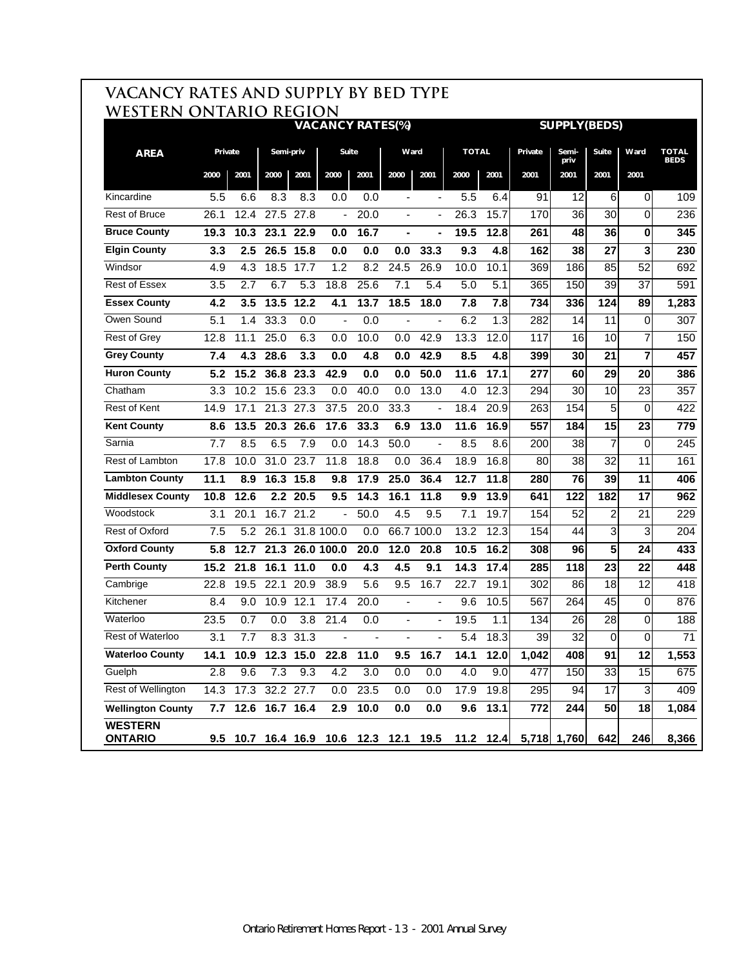|                                  | VACANCY RATES AND SUPPLY BY BED TYPE<br>WESTERN ONTARIO REGION |      |                    |                  |                                        |      |                          |                          |                  |           |         |                     |                |                 |                             |
|----------------------------------|----------------------------------------------------------------|------|--------------------|------------------|----------------------------------------|------|--------------------------|--------------------------|------------------|-----------|---------|---------------------|----------------|-----------------|-----------------------------|
|                                  |                                                                |      |                    |                  | <b>VACANCY RATES(%)</b>                |      |                          |                          |                  |           |         | <b>SUPPLY(BEDS)</b> |                |                 |                             |
| <b>AREA</b>                      | Private                                                        |      | Semi-priv          |                  | Suite                                  |      | Ward                     |                          | <b>TOTAL</b>     |           | Private | Semi-<br>priv       | <b>Suite</b>   | Ward            | <b>TOTAL</b><br><b>BEDS</b> |
|                                  | 2000                                                           | 2001 | 2000               | 2001             | 2000                                   | 2001 | 2000                     | 2001                     | 2000             | 2001      | 2001    | 2001                | 2001           | 2001            |                             |
| Kincardine                       | 5.5                                                            | 6.6  | 8.3                | 8.3              | 0.0                                    | 0.0  | $\blacksquare$           | $\overline{\phantom{a}}$ | 5.5              | 6.4       | 91      | 12                  | 6              | $\overline{0}$  | 109                         |
| <b>Rest of Bruce</b>             | 26.1                                                           | 12.4 |                    | 27.5 27.8        | $\blacksquare$                         | 20.0 | $\blacksquare$           | $\blacksquare$           | 26.3             | 15.7      | 170     | 36                  | 30             | $\mathbf 0$     | 236                         |
| <b>Bruce County</b>              | 19.3                                                           | 10.3 | 23.1               | 22.9             | 0.0                                    | 16.7 | Ξ.                       |                          | 19.5             | 12.8      | 261     | 48                  | 36             | 0               | 345                         |
| <b>Elgin County</b>              | 3.3                                                            | 2.5  | 26.5               | 15.8             | 0.0                                    | 0.0  | 0.0                      | 33.3                     | 9.3              | 4.8       | 162     | 38                  | 27             | 3               | 230                         |
| Windsor                          | 4.9                                                            | 4.3  | 18.5               | 17.7             | 1.2                                    | 8.2  | 24.5                     | 26.9                     | 10.0             | 10.1      | 369     | 186                 | 85             | 52              | 692                         |
| <b>Rest of Essex</b>             | 3.5                                                            | 2.7  | 6.7                | 5.3              | 18.8                                   | 25.6 | 7.1                      | 5.4                      | 5.0              | 5.1       | 365     | 150                 | 39             | 37              | 591                         |
| <b>Essex County</b>              | 4.2                                                            | 3.5  | 13.5               | 12.2             | 4.1                                    | 13.7 | 18.5                     | 18.0                     | 7.8              | 7.8       | 734     | 336                 | 124            | 89              | 1,283                       |
| Owen Sound                       | 5.1                                                            | 1.4  | 33.3               | 0.0              | ÷,                                     | 0.0  | $\blacksquare$           |                          | 6.2              | 1.3       | 282     | 14                  | 11             | $\pmb{0}$       | 307                         |
| <b>Rest of Grey</b>              | 12.8                                                           | 11.1 | 25.0               | 6.3              | 0.0                                    | 10.0 | 0.0                      | 42.9                     | 13.3             | 12.0      | 117     | 16                  | 10             | 7               | 150                         |
| <b>Grey County</b>               | 7.4                                                            | 4.3  | 28.6               | 3.3              | 0.0                                    | 4.8  | 0.0                      | 42.9                     | 8.5              | 4.8       | 399     | 30                  | 21             | $\overline{7}$  | 457                         |
| <b>Huron County</b>              | 5.2                                                            | 15.2 | 36.8               | 23.3             | 42.9                                   | 0.0  | 0.0                      | 50.0                     | 11.6             | 17.1      | 277     | 60                  | 29             | 20              | 386                         |
| Chatham                          | 3.3                                                            | 10.2 | 15.6               | 23.3             | 0.0                                    | 40.0 | 0.0                      | 13.0                     | $4.\overline{0}$ | 12.3      | 294     | 30                  | 10             | 23              | 357                         |
| <b>Rest of Kent</b>              | 14.9                                                           | 17.1 | 21.3               | 27.3             | 37.5                                   | 20.0 | 33.3                     | $\blacksquare$           | 18.4             | 20.9      | 263     | 154                 | 5              | 0               | 422                         |
| <b>Kent County</b>               | 8.6                                                            | 13.5 | 20.3               | 26.6             | 17.6                                   | 33.3 | 6.9                      | 13.0                     | 11.6             | 16.9      | 557     | 184                 | 15             | 23              | 779                         |
| Sarnia                           | 7.7                                                            | 8.5  | 6.5                | 7.9              | 0.0                                    | 14.3 | 50.0                     | ÷,                       | 8.5              | 8.6       | 200     | $\overline{38}$     | 7              | 0               | 245                         |
| Rest of Lambton                  | 17.8                                                           | 10.0 | 31.0               | 23.7             | 11.8                                   | 18.8 | 0.0                      | 36.4                     | 18.9             | 16.8      | 80      | 38                  | 32             | $\overline{11}$ | 161                         |
| <b>Lambton County</b>            | 11.1                                                           | 8.9  | 16.3               | 15.8             | 9.8                                    | 17.9 | 25.0                     | 36.4                     | 12.7             | 11.8      | 280     | 76                  | 39             | 11              | 406                         |
| <b>Middlesex County</b>          | 10.8                                                           | 12.6 |                    | 2.2 20.5         | 9.5                                    | 14.3 | 16.1                     | 11.8                     | 9.9              | 13.9      | 641     | 122                 | 182            | 17              | 962                         |
| Woodstock                        | 3.1                                                            | 20.1 |                    | 16.7 21.2        | $\overline{\phantom{a}}$               | 50.0 | 4.5                      | 9.5                      | 7.1              | 19.7      | 154     | 52                  | 2              | 21              | 229                         |
| Rest of Oxford                   | 7.5                                                            | 5.2  | 26.1               |                  | 31.8 100.0                             | 0.0  |                          | 66.7 100.0               | 13.2             | 12.3      | 154     | 44                  | $\overline{3}$ | 3               | 204                         |
| <b>Oxford County</b>             | 5.8                                                            | 12.7 | 21.3               |                  | 26.0 100.0                             | 20.0 | 12.0                     | 20.8                     | 10.5             | 16.2      | 308     | 96                  | 5              | 24              | 433                         |
| <b>Perth County</b>              | 15.2                                                           | 21.8 | 16.1               | 11.0             | 0.0                                    | 4.3  | 4.5                      | 9.1                      | 14.3             | 17.4      | 285     | 118                 | 23             | 22              | 448                         |
| Cambrige                         | 22.8                                                           | 19.5 | $\overline{22.1}$  | 20.9             | 38.9                                   | 5.6  | 9.5                      | 16.7                     | 22.7             | 19.1      | 302     | 86                  | 18             | 12              | 418                         |
| Kitchener                        | 8.4                                                            | 9.0  | 10.9               | 12.1             | 17.4                                   | 20.0 | $\overline{\phantom{a}}$ | $\blacksquare$           | 9.6              | 10.5      | 567     | 264                 | 45             | 0               | 876                         |
| Waterloo                         | 23.5                                                           | 0.7  | 0.0                | $\overline{3.8}$ | 21.4                                   | 0.0  | L.                       |                          | 19.5             | 1.1       | 134     | $\overline{26}$     | 28             | $\mathbf 0$     | 188                         |
| <b>Rest of Waterloo</b>          | 3.1                                                            | 7.7  |                    | 8.3 31.3         |                                        |      |                          |                          | 5.4              | 18.3      | 39      | $\overline{32}$     | $\overline{0}$ | $\Omega$        | $\overline{71}$             |
| <b>Waterloo County</b>           | 14.1                                                           | 10.9 |                    | 12.3 15.0        | 22.8                                   | 11.0 | 9.5                      | 16.7                     | 14.1             | 12.0      | 1,042   | 408                 | 91             | 12              | 1,553                       |
| Guelph                           | 2.8                                                            | 9.6  | $7.\overline{3}$   | 9.3              | 4.2                                    | 3.0  | 0.0                      | 0.0                      | 4.0              | 9.0       | 477     | 150                 | 33             | 15              | 675                         |
| Rest of Wellington               | 14.3                                                           |      | 17.3 32.2 27.7     |                  | 0.0                                    | 23.5 | 0.0                      | 0.0                      | 17.9             | 19.8      | 295     | 94                  | 17             | $\sqrt{3}$      | 409                         |
| <b>Wellington County</b>         |                                                                |      | 7.7 12.6 16.7 16.4 |                  | 2.9                                    | 10.0 | 0.0                      | 0.0                      | 9.6              | 13.1      | 772     | 244                 | 50             | 18              | 1,084                       |
| <b>WESTERN</b><br><b>ONTARIO</b> |                                                                |      |                    |                  | 9.5 10.7 16.4 16.9 10.6 12.3 12.1 19.5 |      |                          |                          |                  | 11.2 12.4 |         | 5,718 1,760         | 642            | 246             | 8,366                       |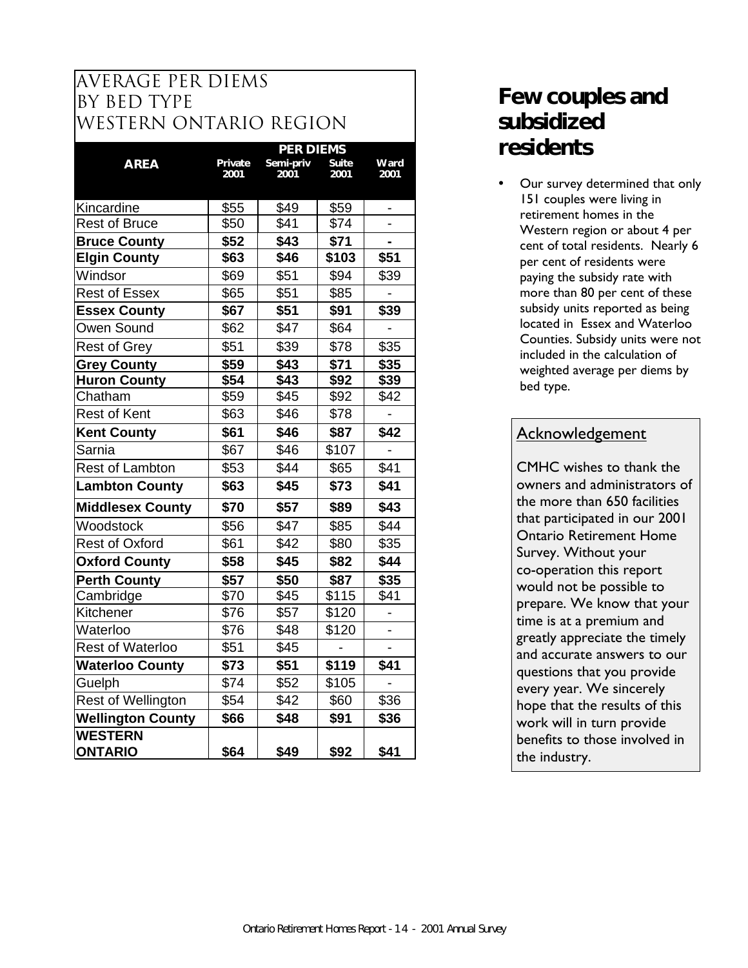### average PER DIEMS BY BED TYPE WESTERN ONTARIO REGION

|                           |         |           | <b>PER DIEMS</b> |      |  |  |  |
|---------------------------|---------|-----------|------------------|------|--|--|--|
| <b>AREA</b>               | Private | Semi-priv | <b>Suite</b>     | Ward |  |  |  |
|                           | 2001    | 2001      | 2001             | 2001 |  |  |  |
| Kincardine                | \$55    | \$49      | \$59             |      |  |  |  |
| <b>Rest of Bruce</b>      | \$50    | \$41      | \$74             |      |  |  |  |
| <b>Bruce County</b>       | \$52    | \$43      | \$71             |      |  |  |  |
| <b>Elgin County</b>       | \$63    | \$46      | \$103            | \$51 |  |  |  |
| Windsor                   | \$69    | \$51      | \$94             | \$39 |  |  |  |
| <b>Rest of Essex</b>      | \$65    | \$51      | \$85             |      |  |  |  |
| <b>Essex County</b>       | \$67    | \$51      | \$91             | \$39 |  |  |  |
| Owen Sound                | \$62    | \$47      | \$64             |      |  |  |  |
| <b>Rest of Grey</b>       | \$51    | \$39      | \$78             | \$35 |  |  |  |
| <b>Grey County</b>        | \$59    | \$43      | \$71             | \$35 |  |  |  |
| <b>Huron County</b>       | \$54    | \$43      | \$92             | \$39 |  |  |  |
| Chatham                   | \$59    | \$45      | \$92             | \$42 |  |  |  |
| <b>Rest of Kent</b>       | \$63    | \$46      | \$78             |      |  |  |  |
| <b>Kent County</b>        | \$61    | \$46      | \$87             | \$42 |  |  |  |
| Sarnia                    | \$67    | \$46      | \$107            |      |  |  |  |
| <b>Rest of Lambton</b>    | \$53    | \$44      | \$65             | \$41 |  |  |  |
| <b>Lambton County</b>     | \$63    | \$45      | \$73             | \$41 |  |  |  |
| <b>Middlesex County</b>   | \$70    | \$57      | \$89             | \$43 |  |  |  |
| Woodstock                 | \$56    | \$47      | \$85             | \$44 |  |  |  |
| <b>Rest of Oxford</b>     | \$61    | \$42      | \$80             | \$35 |  |  |  |
| <b>Oxford County</b>      | \$58    | \$45      | \$82             | \$44 |  |  |  |
| <b>Perth County</b>       | \$57    | \$50      | \$87             | \$35 |  |  |  |
| Cambridge                 | \$70    | \$45      | \$115            | \$41 |  |  |  |
| Kitchener                 | \$76    | \$57      | \$120            |      |  |  |  |
| Waterloo                  | \$76    | \$48      | \$120            |      |  |  |  |
| <b>Rest of Waterloo</b>   | \$51    | \$45      |                  |      |  |  |  |
| <b>Waterloo County</b>    | \$73    | \$51      | \$119            | \$41 |  |  |  |
| Guelph                    | \$74    | \$52      | \$105            |      |  |  |  |
| <b>Rest of Wellington</b> | \$54    | \$42      | \$60             | \$36 |  |  |  |
| <b>Wellington County</b>  | \$66    | \$48      | \$91             | \$36 |  |  |  |
| <b>WESTERN</b>            |         |           |                  |      |  |  |  |
| <b>ONTARIO</b>            | \$64    | \$49      | \$92             | \$41 |  |  |  |

## **Few couples and subsidized residents**

Our survey determined that only 151 couples were living in retirement homes in the Western region or about 4 per cent of total residents. Nearly 6 per cent of residents were paying the subsidy rate with more than 80 per cent of these subsidy units reported as being located in Essex and Waterloo Counties. Subsidy units were not included in the calculation of weighted average per diems by bed type.

### **Acknowledgement**

CMHC wishes to thank the owners and administrators of the more than 650 facilities that participated in our 2001 Ontario Retirement Home Survey. Without your co-operation this report would not be possible to prepare. We know that your time is at a premium and greatly appreciate the timely and accurate answers to our questions that you provide every year. We sincerely hope that the results of this work will in turn provide benefits to those involved in the industry. **\$64 \$49 \$92 \$41**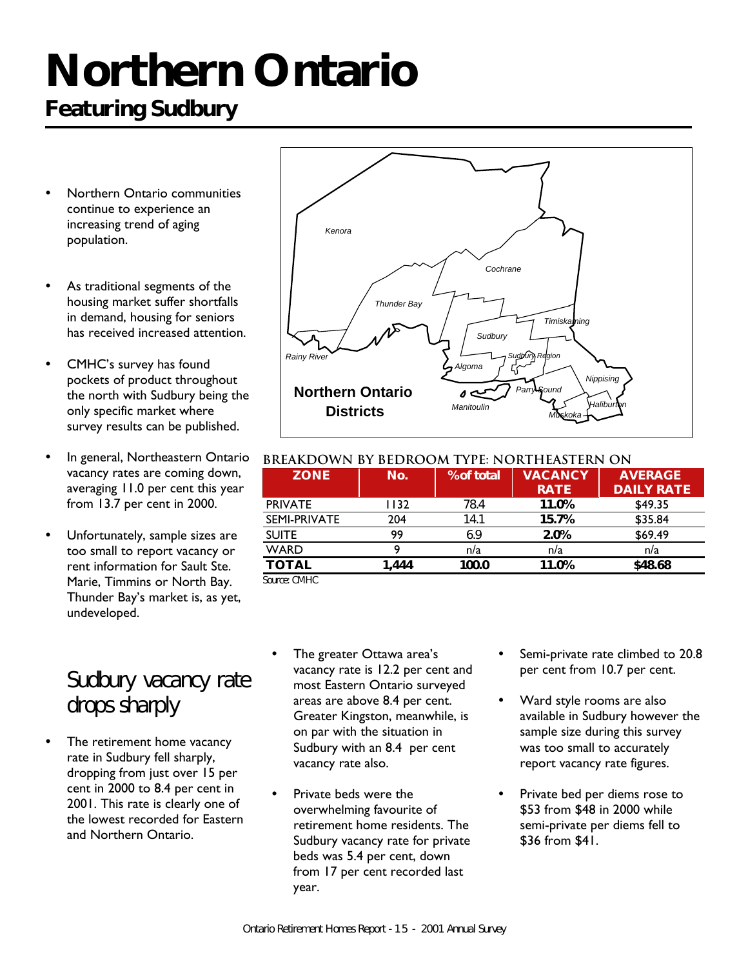# **Northern Ontario**

# **Featuring Sudbury**

- Northern Ontario communities continue to experience an increasing trend of aging population.
- As traditional segments of the housing market suffer shortfalls in demand, housing for seniors has received increased attention.
- CMHC's survey has found pockets of product throughout the north with Sudbury being the only specific market where survey results can be published.
- In general, Northeastern Ontario vacancy rates are coming down, averaging 11.0 per cent this year from 13.7 per cent in 2000.
- Unfortunately, sample sizes are too small to report vacancy or rent information for Sault Ste. Marie, Timmins or North Bay. Thunder Bay's market is, as yet, undeveloped.

## *Sudbury vacancy rate drops sharply*

The retirement home vacancy rate in Sudbury fell sharply, dropping from just over 15 per cent in 2000 to 8.4 per cent in 2001. This rate is clearly one of the lowest recorded for Eastern and Northern Ontario.



### **BREAKDOWN BY BEDROOM TYPE: NORTHEASTERN ON**

| <b>ZONE</b>                                                              | No.    | % of total | <b>VACANCY</b><br><b>RATE</b> | <b>AVERAGE</b><br><b>DAILY RATE</b> |
|--------------------------------------------------------------------------|--------|------------|-------------------------------|-------------------------------------|
| <b>PRIVATE</b>                                                           | I I 32 | 78.4       | 11.0%                         | \$49.35                             |
| SEMI-PRIVATE                                                             | 204    | 14.1       | 15.7%                         | \$35.84                             |
| <b>SUITE</b>                                                             | 99     | 6.9        | 2.0%                          | \$69.49                             |
| <b>WARD</b>                                                              |        | n/a        | n/a                           | n/a                                 |
| <b>TOTAL</b>                                                             | 444. ا | 100.0      | 11.0%                         | \$48.68                             |
| $C_{\text{a}1}$ $\cdots$ $\cdots$ $C_{\text{b}}$ $\cdots$ $C_{\text{b}}$ |        |            |                               |                                     |

*Source: CMHC*

- The greater Ottawa area's vacancy rate is 12.2 per cent and most Eastern Ontario surveyed areas are above 8.4 per cent. Greater Kingston, meanwhile, is on par with the situation in Sudbury with an 8.4 per cent vacancy rate also.
- Private beds were the overwhelming favourite of retirement home residents. The Sudbury vacancy rate for private beds was 5.4 per cent, down from 17 per cent recorded last year.
- Semi-private rate climbed to 20.8 per cent from 10.7 per cent.
- Ward style rooms are also available in Sudbury however the sample size during this survey was too small to accurately report vacancy rate figures.
- Private bed per diems rose to \$53 from \$48 in 2000 while semi-private per diems fell to \$36 from \$41.